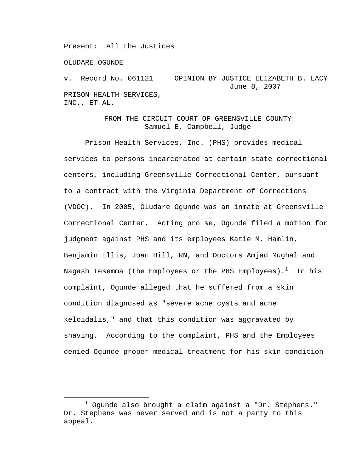Present: All the Justices

OLUDARE OGUNDE

v. Record No. 061121 OPINION BY JUSTICE ELIZABETH B. LACY June 8, 2007 PRISON HEALTH SERVICES, INC., ET AL.

> FROM THE CIRCUIT COURT OF GREENSVILLE COUNTY Samuel E. Campbell, Judge

 Prison Health Services, Inc. (PHS) provides medical services to persons incarcerated at certain state correctional centers, including Greensville Correctional Center, pursuant to a contract with the Virginia Department of Corrections (VDOC). In 2005, Oludare Ogunde was an inmate at Greensville Correctional Center. Acting pro se, Ogunde filed a motion for judgment against PHS and its employees Katie M. Hamlin, Benjamin Ellis, Joan Hill, RN, and Doctors Amjad Mughal and Nagash Tesemma (the Employees or the PHS Employees). $^1$  In his complaint, Ogunde alleged that he suffered from a skin condition diagnosed as "severe acne cysts and acne keloidalis," and that this condition was aggravated by shaving.According to the complaint, PHS and the Employees denied Ogunde proper medical treatment for his skin condition

<sup>&</sup>lt;u>1</u>  $1$  Ogunde also brought a claim against a "Dr. Stephens." Dr. Stephens was never served and is not a party to this appeal.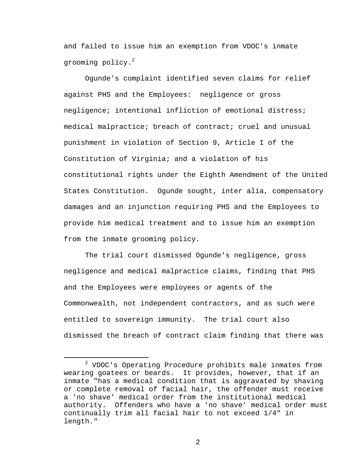and failed to issue him an exemption from VDOC's inmate grooming policy.<sup>2</sup>

 Ogunde's complaint identified seven claims for relief against PHS and the Employees: negligence or gross negligence; intentional infliction of emotional distress; medical malpractice; breach of contract; cruel and unusual punishment in violation of Section 9, Article I of the Constitution of Virginia; and a violation of his constitutional rights under the Eighth Amendment of the United States Constitution. Ogunde sought, inter alia, compensatory damages and an injunction requiring PHS and the Employees to provide him medical treatment and to issue him an exemption from the inmate grooming policy.

The trial court dismissed Ogunde's negligence, gross negligence and medical malpractice claims, finding that PHS and the Employees were employees or agents of the Commonwealth, not independent contractors, and as such were entitled to sovereign immunity. The trial court also dismissed the breach of contract claim finding that there was

 <sup>2</sup>  $2$  VDOC's Operating Procedure prohibits male inmates from wearing goatees or beards. It provides, however, that if an inmate "has a medical condition that is aggravated by shaving or complete removal of facial hair, the offender must receive a 'no shave' medical order from the institutional medical authority. Offenders who have a 'no shave' medical order must continually trim all facial hair to not exceed 1/4" in length."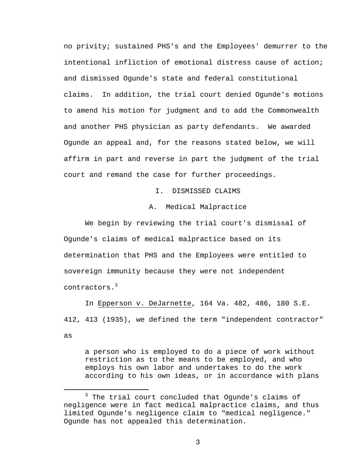no privity; sustained PHS's and the Employees' demurrer to the intentional infliction of emotional distress cause of action; and dismissed Ogunde's state and federal constitutional claims. In addition, the trial court denied Ogunde's motions to amend his motion for judgment and to add the Commonwealth and another PHS physician as party defendants. We awarded Ogunde an appeal and, for the reasons stated below, we will affirm in part and reverse in part the judgment of the trial court and remand the case for further proceedings.

I. DISMISSED CLAIMS

A. Medical Malpractice

 We begin by reviewing the trial court's dismissal of Ogunde's claims of medical malpractice based on its determination that PHS and the Employees were entitled to sovereign immunity because they were not independent contractors.<sup>3</sup>

 In Epperson v. DeJarnette, 164 Va. 482, 486, 180 S.E. 412, 413 (1935), we defined the term "independent contractor" as

a person who is employed to do a piece of work without restriction as to the means to be employed, and who employs his own labor and undertakes to do the work according to his own ideas, or in accordance with plans

 $\overline{\phantom{a}}$  3  $3$  The trial court concluded that Ogunde's claims of negligence were in fact medical malpractice claims, and thus limited Ogunde's negligence claim to "medical negligence." Ogunde has not appealed this determination.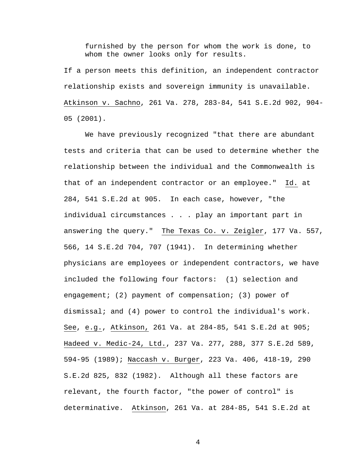furnished by the person for whom the work is done, to whom the owner looks only for results.

If a person meets this definition, an independent contractor relationship exists and sovereign immunity is unavailable. Atkinson v. Sachno, 261 Va. 278, 283-84, 541 S.E.2d 902, 904- 05 (2001).

We have previously recognized "that there are abundant tests and criteria that can be used to determine whether the relationship between the individual and the Commonwealth is that of an independent contractor or an employee." Id. at 284, 541 S.E.2d at 905. In each case, however, "the individual circumstances . . . play an important part in answering the query." The Texas Co. v. Zeigler, 177 Va. 557, 566, 14 S.E.2d 704, 707 (1941). In determining whether physicians are employees or independent contractors, we have included the following four factors: (1) selection and engagement; (2) payment of compensation; (3) power of dismissal; and (4) power to control the individual's work. See, e.g., Atkinson, 261 Va. at 284-85, 541 S.E.2d at 905; Hadeed v. Medic-24, Ltd., 237 Va. 277, 288, 377 S.E.2d 589, 594-95 (1989); Naccash v. Burger, 223 Va. 406, 418-19, 290 S.E.2d 825, 832 (1982). Although all these factors are relevant, the fourth factor, "the power of control" is determinative. Atkinson, 261 Va. at 284-85, 541 S.E.2d at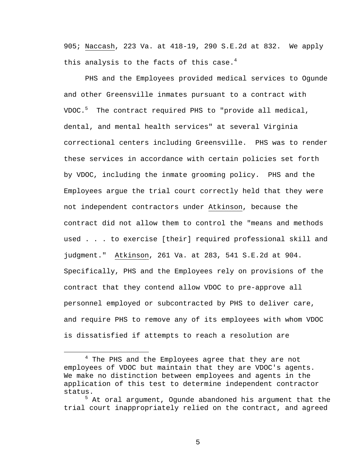905; Naccash, 223 Va. at 418-19, 290 S.E.2d at 832. We apply this analysis to the facts of this case.<sup>4</sup>

 PHS and the Employees provided medical services to Ogunde and other Greensville inmates pursuant to a contract with VDOC.<sup>5</sup> The contract required PHS to "provide all medical, dental, and mental health services" at several Virginia correctional centers including Greensville. PHS was to render these services in accordance with certain policies set forth by VDOC, including the inmate grooming policy. PHS and the Employees argue the trial court correctly held that they were not independent contractors under Atkinson, because the contract did not allow them to control the "means and methods used . . . to exercise [their] required professional skill and judgment." Atkinson, 261 Va. at 283, 541 S.E.2d at 904. Specifically, PHS and the Employees rely on provisions of the contract that they contend allow VDOC to pre-approve all personnel employed or subcontracted by PHS to deliver care, and require PHS to remove any of its employees with whom VDOC is dissatisfied if attempts to reach a resolution are

 $\overline{4}$ <sup>4</sup> The PHS and the Employees agree that they are not employees of VDOC but maintain that they are VDOC's agents. We make no distinction between employees and agents in the application of this test to determine independent contractor status.

<sup>5</sup> At oral argument, Ogunde abandoned his argument that the trial court inappropriately relied on the contract, and agreed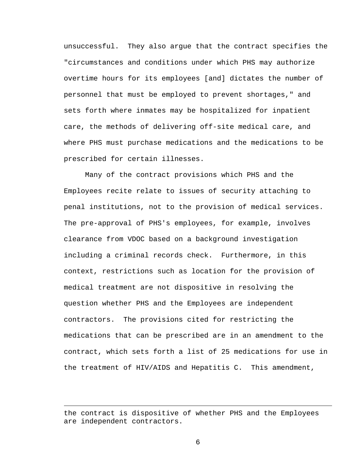unsuccessful. They also argue that the contract specifies the "circumstances and conditions under which PHS may authorize overtime hours for its employees [and] dictates the number of personnel that must be employed to prevent shortages," and sets forth where inmates may be hospitalized for inpatient care, the methods of delivering off-site medical care, and where PHS must purchase medications and the medications to be prescribed for certain illnesses.

Many of the contract provisions which PHS and the Employees recite relate to issues of security attaching to penal institutions, not to the provision of medical services. The pre-approval of PHS's employees, for example, involves clearance from VDOC based on a background investigation including a criminal records check. Furthermore, in this context, restrictions such as location for the provision of medical treatment are not dispositive in resolving the question whether PHS and the Employees are independent contractors. The provisions cited for restricting the medications that can be prescribed are in an amendment to the contract, which sets forth a list of 25 medications for use in the treatment of HIV/AIDS and Hepatitis C. This amendment,

i<br>Li

the contract is dispositive of whether PHS and the Employees are independent contractors.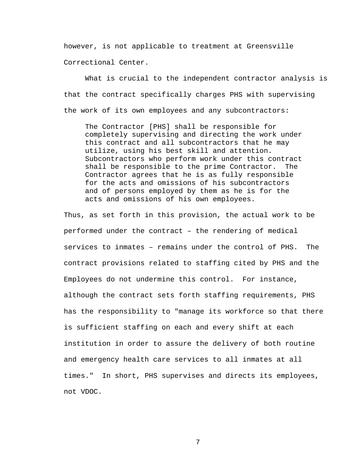however, is not applicable to treatment at Greensville Correctional Center.

 What is crucial to the independent contractor analysis is that the contract specifically charges PHS with supervising the work of its own employees and any subcontractors:

The Contractor [PHS] shall be responsible for completely supervising and directing the work under this contract and all subcontractors that he may utilize, using his best skill and attention. Subcontractors who perform work under this contract shall be responsible to the prime Contractor. The Contractor agrees that he is as fully responsible for the acts and omissions of his subcontractors and of persons employed by them as he is for the acts and omissions of his own employees.

Thus, as set forth in this provision, the actual work to be performed under the contract – the rendering of medical services to inmates – remains under the control of PHS. The contract provisions related to staffing cited by PHS and the Employees do not undermine this control. For instance, although the contract sets forth staffing requirements, PHS has the responsibility to "manage its workforce so that there is sufficient staffing on each and every shift at each institution in order to assure the delivery of both routine and emergency health care services to all inmates at all times." In short, PHS supervises and directs its employees, not VDOC.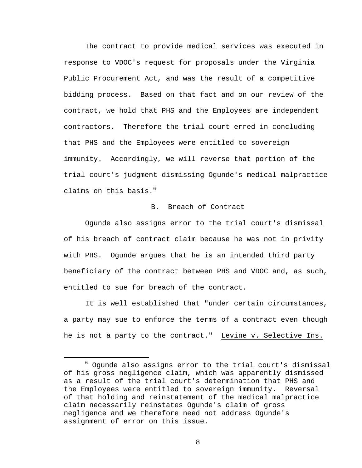The contract to provide medical services was executed in response to VDOC's request for proposals under the Virginia Public Procurement Act, and was the result of a competitive bidding process. Based on that fact and on our review of the contract, we hold that PHS and the Employees are independent contractors. Therefore the trial court erred in concluding that PHS and the Employees were entitled to sovereign immunity. Accordingly, we will reverse that portion of the trial court's judgment dismissing Ogunde's medical malpractice claims on this basis.<sup>6</sup>

## B. Breach of Contract

 Ogunde also assigns error to the trial court's dismissal of his breach of contract claim because he was not in privity with PHS. Ogunde argues that he is an intended third party beneficiary of the contract between PHS and VDOC and, as such, entitled to sue for breach of the contract.

It is well established that "under certain circumstances, a party may sue to enforce the terms of a contract even though he is not a party to the contract." Levine v. Selective Ins.

 $\overline{6}$  $6$  Ogunde also assigns error to the trial court's dismissal of his gross negligence claim, which was apparently dismissed as a result of the trial court's determination that PHS and the Employees were entitled to sovereign immunity. Reversal of that holding and reinstatement of the medical malpractice claim necessarily reinstates Ogunde's claim of gross negligence and we therefore need not address Ogunde's assignment of error on this issue.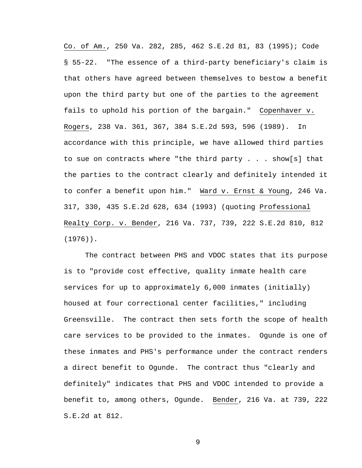Co. of Am., 250 Va. 282, 285, 462 S.E.2d 81, 83 (1995); Code § 55-22. "The essence of a third-party beneficiary's claim is that others have agreed between themselves to bestow a benefit upon the third party but one of the parties to the agreement fails to uphold his portion of the bargain." Copenhaver v. Rogers, 238 Va. 361, 367, 384 S.E.2d 593, 596 (1989). In accordance with this principle, we have allowed third parties to sue on contracts where "the third party . . . show[s] that the parties to the contract clearly and definitely intended it to confer a benefit upon him." Ward v. Ernst & Young, 246 Va. 317, 330, 435 S.E.2d 628, 634 (1993) (quoting Professional Realty Corp. v. Bender, 216 Va. 737, 739, 222 S.E.2d 810, 812 (1976)).

The contract between PHS and VDOC states that its purpose is to "provide cost effective, quality inmate health care services for up to approximately 6,000 inmates (initially) housed at four correctional center facilities," including Greensville. The contract then sets forth the scope of health care services to be provided to the inmates. Ogunde is one of these inmates and PHS's performance under the contract renders a direct benefit to Ogunde. The contract thus "clearly and definitely" indicates that PHS and VDOC intended to provide a benefit to, among others, Ogunde. Bender, 216 Va. at 739, 222 S.E.2d at 812.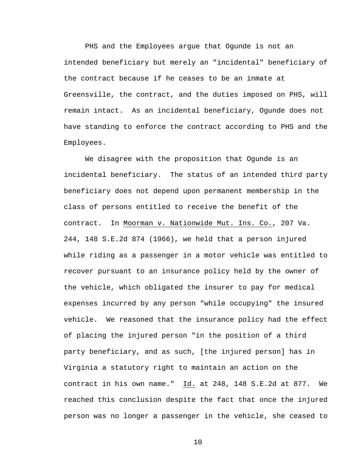PHS and the Employees argue that Ogunde is not an intended beneficiary but merely an "incidental" beneficiary of the contract because if he ceases to be an inmate at Greensville, the contract, and the duties imposed on PHS, will remain intact. As an incidental beneficiary, Ogunde does not have standing to enforce the contract according to PHS and the Employees.

We disagree with the proposition that Ogunde is an incidental beneficiary. The status of an intended third party beneficiary does not depend upon permanent membership in the class of persons entitled to receive the benefit of the contract. In Moorman v. Nationwide Mut. Ins. Co., 207 Va. 244, 148 S.E.2d 874 (1966), we held that a person injured while riding as a passenger in a motor vehicle was entitled to recover pursuant to an insurance policy held by the owner of the vehicle, which obligated the insurer to pay for medical expenses incurred by any person "while occupying" the insured vehicle. We reasoned that the insurance policy had the effect of placing the injured person "in the position of a third party beneficiary, and as such, [the injured person] has in Virginia a statutory right to maintain an action on the contract in his own name." Id. at 248, 148 S.E.2d at 877. We reached this conclusion despite the fact that once the injured person was no longer a passenger in the vehicle, she ceased to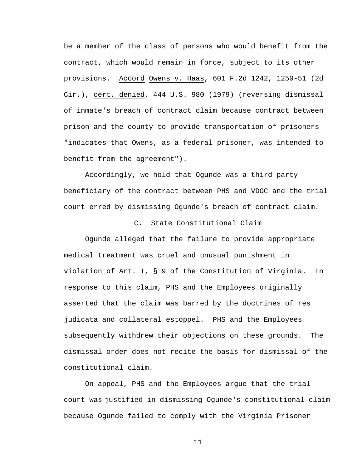be a member of the class of persons who would benefit from the contract, which would remain in force, subject to its other provisions. Accord Owens v. Haas, 601 F.2d 1242, 1250-51 (2d Cir.), cert. denied, 444 U.S. 980 (1979) (reversing dismissal of inmate's breach of contract claim because contract between prison and the county to provide transportation of prisoners "indicates that Owens, as a federal prisoner, was intended to benefit from the agreement").

Accordingly, we hold that Ogunde was a third party beneficiary of the contract between PHS and VDOC and the trial court erred by dismissing Ogunde's breach of contract claim.

## C. State Constitutional Claim

Ogunde alleged that the failure to provide appropriate medical treatment was cruel and unusual punishment in violation of Art. I, § 9 of the Constitution of Virginia. In response to this claim, PHS and the Employees originally asserted that the claim was barred by the doctrines of res judicata and collateral estoppel. PHS and the Employees subsequently withdrew their objections on these grounds. The dismissal order does not recite the basis for dismissal of the constitutional claim.

On appeal, PHS and the Employees argue that the trial court was justified in dismissing Ogunde's constitutional claim because Ogunde failed to comply with the Virginia Prisoner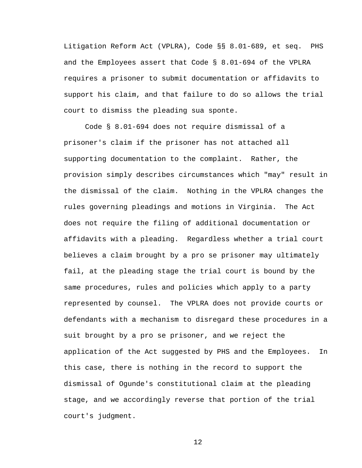Litigation Reform Act (VPLRA), Code §§ 8.01-689, et seq. PHS and the Employees assert that Code § 8.01-694 of the VPLRA requires a prisoner to submit documentation or affidavits to support his claim, and that failure to do so allows the trial court to dismiss the pleading sua sponte.

Code § 8.01-694 does not require dismissal of a prisoner's claim if the prisoner has not attached all supporting documentation to the complaint. Rather, the provision simply describes circumstances which "may" result in the dismissal of the claim. Nothing in the VPLRA changes the rules governing pleadings and motions in Virginia. The Act does not require the filing of additional documentation or affidavits with a pleading. Regardless whether a trial court believes a claim brought by a pro se prisoner may ultimately fail, at the pleading stage the trial court is bound by the same procedures, rules and policies which apply to a party represented by counsel. The VPLRA does not provide courts or defendants with a mechanism to disregard these procedures in a suit brought by a pro se prisoner, and we reject the application of the Act suggested by PHS and the Employees. In this case, there is nothing in the record to support the dismissal of Ogunde's constitutional claim at the pleading stage, and we accordingly reverse that portion of the trial court's judgment.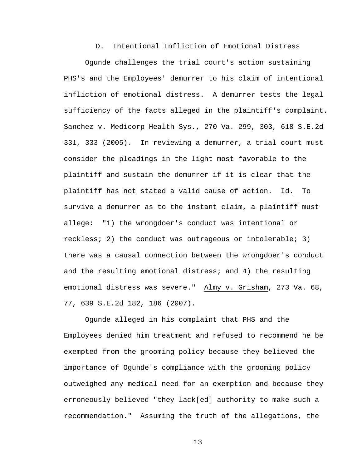D. Intentional Infliction of Emotional Distress

Ogunde challenges the trial court's action sustaining PHS's and the Employees' demurrer to his claim of intentional infliction of emotional distress. A demurrer tests the legal sufficiency of the facts alleged in the plaintiff's complaint. Sanchez v. Medicorp Health Sys., 270 Va. 299, 303, 618 S.E.2d 331, 333 (2005). In reviewing a demurrer, a trial court must consider the pleadings in the light most favorable to the plaintiff and sustain the demurrer if it is clear that the plaintiff has not stated a valid cause of action. Id. To survive a demurrer as to the instant claim, a plaintiff must allege: "1) the wrongdoer's conduct was intentional or reckless; 2) the conduct was outrageous or intolerable; 3) there was a causal connection between the wrongdoer's conduct and the resulting emotional distress; and 4) the resulting emotional distress was severe." Almy v. Grisham, 273 Va. 68, 77, 639 S.E.2d 182, 186 (2007).

Ogunde alleged in his complaint that PHS and the Employees denied him treatment and refused to recommend he be exempted from the grooming policy because they believed the importance of Ogunde's compliance with the grooming policy outweighed any medical need for an exemption and because they erroneously believed "they lack[ed] authority to make such a recommendation." Assuming the truth of the allegations, the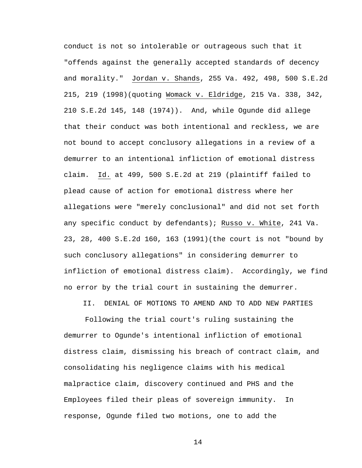conduct is not so intolerable or outrageous such that it "offends against the generally accepted standards of decency and morality." Jordan v. Shands, 255 Va. 492, 498, 500 S.E.2d 215, 219 (1998)(quoting Womack v. Eldridge, 215 Va. 338, 342, 210 S.E.2d 145, 148 (1974)). And, while Ogunde did allege that their conduct was both intentional and reckless, we are not bound to accept conclusory allegations in a review of a demurrer to an intentional infliction of emotional distress claim. Id. at 499, 500 S.E.2d at 219 (plaintiff failed to plead cause of action for emotional distress where her allegations were "merely conclusional" and did not set forth any specific conduct by defendants); Russo v. White, 241 Va. 23, 28, 400 S.E.2d 160, 163 (1991)(the court is not "bound by such conclusory allegations" in considering demurrer to infliction of emotional distress claim). Accordingly, we find no error by the trial court in sustaining the demurrer.

II. DENIAL OF MOTIONS TO AMEND AND TO ADD NEW PARTIES

 Following the trial court's ruling sustaining the demurrer to Ogunde's intentional infliction of emotional distress claim, dismissing his breach of contract claim, and consolidating his negligence claims with his medical malpractice claim, discovery continued and PHS and the Employees filed their pleas of sovereign immunity. In response, Ogunde filed two motions, one to add the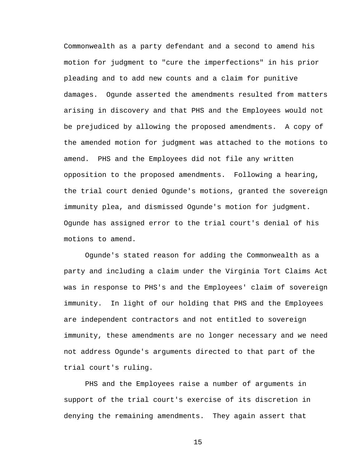Commonwealth as a party defendant and a second to amend his motion for judgment to "cure the imperfections" in his prior pleading and to add new counts and a claim for punitive damages. Ogunde asserted the amendments resulted from matters arising in discovery and that PHS and the Employees would not be prejudiced by allowing the proposed amendments. A copy of the amended motion for judgment was attached to the motions to amend. PHS and the Employees did not file any written opposition to the proposed amendments. Following a hearing, the trial court denied Ogunde's motions, granted the sovereign immunity plea, and dismissed Ogunde's motion for judgment. Ogunde has assigned error to the trial court's denial of his motions to amend.

 Ogunde's stated reason for adding the Commonwealth as a party and including a claim under the Virginia Tort Claims Act was in response to PHS's and the Employees' claim of sovereign immunity. In light of our holding that PHS and the Employees are independent contractors and not entitled to sovereign immunity, these amendments are no longer necessary and we need not address Ogunde's arguments directed to that part of the trial court's ruling.

 PHS and the Employees raise a number of arguments in support of the trial court's exercise of its discretion in denying the remaining amendments. They again assert that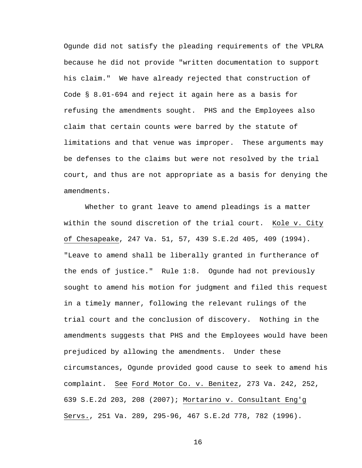Ogunde did not satisfy the pleading requirements of the VPLRA because he did not provide "written documentation to support his claim." We have already rejected that construction of Code § 8.01-694 and reject it again here as a basis for refusing the amendments sought. PHS and the Employees also claim that certain counts were barred by the statute of limitations and that venue was improper. These arguments may be defenses to the claims but were not resolved by the trial court, and thus are not appropriate as a basis for denying the amendments.

 Whether to grant leave to amend pleadings is a matter within the sound discretion of the trial court. Kole v. City of Chesapeake, 247 Va. 51, 57, 439 S.E.2d 405, 409 (1994). "Leave to amend shall be liberally granted in furtherance of the ends of justice." Rule 1:8. Ogunde had not previously sought to amend his motion for judgment and filed this request in a timely manner, following the relevant rulings of the trial court and the conclusion of discovery. Nothing in the amendments suggests that PHS and the Employees would have been prejudiced by allowing the amendments. Under these circumstances, Ogunde provided good cause to seek to amend his complaint. See Ford Motor Co. v. Benitez, 273 Va. 242, 252, 639 S.E.2d 203, 208 (2007); Mortarino v. Consultant Eng'g Servs., 251 Va. 289, 295-96, 467 S.E.2d 778, 782 (1996).